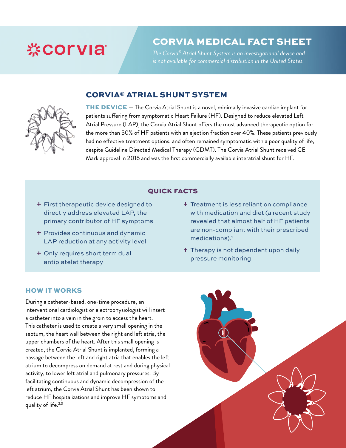# **※COLAIS**

### CORVIA MEDICAL FACT SHEET

*The Corvia® Atrial Shunt System is an investigational device and is not available for commercial distribution in the United States.* 

### CORVIA® ATRIAL SHUNT SYSTEM



THE DEVICE — The Corvia Atrial Shunt is a novel, minimally invasive cardiac implant for patients suffering from symptomatic Heart Failure (HF). Designed to reduce elevated Left Atrial Pressure (LAP), the Corvia Atrial Shunt offers the most advanced therapeutic option for the more than 50% of HF patients with an ejection fraction over 40%. These patients previously had no effective treatment options, and often remained symptomatic with a poor quality of life, despite Guideline Directed Medical Therapy (GDMT). The Corvia Atrial Shunt received CE Mark approval in 2016 and was the first commercially available interatrial shunt for HF.

### QUICK FACTS

- **+** First therapeutic device designed to directly address elevated LAP, the primary contributor of HF symptoms
- **+** Provides continuous and dynamic LAP reduction at any activity level
- + Only requires short term dual antiplatelet therapy
- + Treatment is less reliant on compliance with medication and diet (a recent study revealed that almost half of HF patients are non-compliant with their prescribed medications).<sup>1</sup>
- $\pm$  Therapy is not dependent upon daily pressure monitoring

#### HOW IT WORKS

During a catheter-based, one-time procedure, an interventional cardiologist or electrophysiologist will insert a catheter into a vein in the groin to access the heart. This catheter is used to create a very small opening in the septum, the heart wall between the right and left atria, the upper chambers of the heart. After this small opening is created, the Corvia Atrial Shunt is implanted, forming a passage between the left and right atria that enables the left atrium to decompress on demand at rest and during physical activity, to lower left atrial and pulmonary pressures. By facilitating continuous and dynamic decompression of the left atrium, the Corvia Atrial Shunt has been shown to reduce HF hospitalizations and improve HF symptoms and quality of life.<sup>2,3</sup>

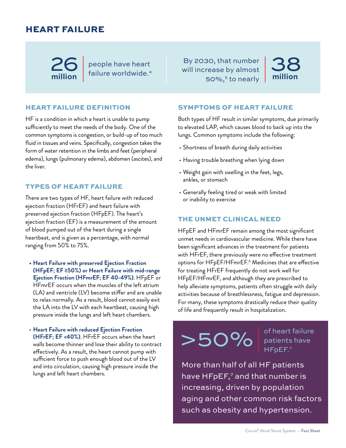### HEART FAILURE

**million**

people have heart  $26$  people have heart

#### HEART FAILURE DEFINITION

HF is a condition in which a heart is unable to pump sufficiently to meet the needs of the body. One of the common symptoms is congestion, or build-up of too much fluid in tissues and veins. Specifically, congestion takes the form of water retention in the limbs and feet (peripheral edema), lungs (pulmonary edema), abdomen (ascites), and the liver.

#### TYPES OF HEART FAILURE

There are two types of HF, heart failure with reduced ejection fraction (HFrEF) and heart failure with preserved ejection fraction (HFpEF). The heart's ejection fraction (EF) is a measurement of the amount of blood pumped out of the heart during a single heartbeat, and is given as a percentage, with normal ranging from 50% to 75%.

- **• Heart Failure with preserved Ejection Fraction (HFpEF; EF ≥50%) or Heart Failure with mid-range Ejection Fraction (HFmrEF; EF 40-49%)**. HFpEF or HFmrEF occurs when the muscles of the left atrium (LA) and ventricle (LV) become stiffer and are unable to relax normally. As a result, blood cannot easily exit the LA into the LV with each heartbeat, causing high pressure inside the lungs and left heart chambers.
- **Heart Failure with reduced Ejection Fraction (HFrEF; EF <40%)**. HFrEF occurs when the heart walls become thinner and lose their ability to contract effectively. As a result, the heart cannot pump with sufficient force to push enough blood out of the LV and into circulation, causing high pressure inside the lungs and left heart chambers.

By 2030, that number will increase by almost 50%,<sup>5</sup> to nearly



#### SYMPTOMS OF HEART FAILURE

Both types of HF result in similar symptoms, due primarily to elevated LAP, which causes blood to back up into the lungs. Common symptoms include the following:

- Shortness of breath during daily activities
- Having trouble breathing when lying down
- Weight gain with swelling in the feet, legs, ankles, or stomach
- Generally feeling tired or weak with limited or inability to exercise

#### THE UNMET CLINICAL NEED

HFpEF and HFmrEF remain among the most significant unmet needs in cardiovascular medicine. While there have been significant advances in the treatment for patients with HFrEF, there previously were no effective treatment options for HFpEF/HFmrEF.6 Medicines that are effective for treating HFrEF frequently do not work well for HFpEF/HFmrEF, and although they are prescribed to help alleviate symptoms, patients often struggle with daily activities because of breathlessness, fatigue and depression. For many, these symptoms drastically reduce their quality of life and frequently result in hospitalization.



of heart failure patients have HF<sub>pEF.7</sub>

More than half of all HF patients have HFpEF,<sup>7</sup> and that number is increasing, driven by population aging and other common risk factors such as obesity and hypertension.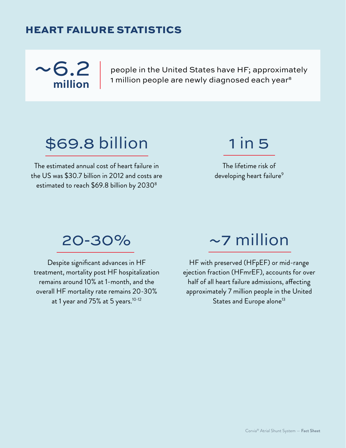## HEART FAILURE STATISTICS



people in the United States have HF; approximately 1 million people are newly diagnosed each year<sup>s</sup>

# \$69.8 billion

The estimated annual cost of heart failure in the US was \$30.7 billion in 2012 and costs are estimated to reach \$69.8 billion by 2030<sup>8</sup>

## 1 in 5

The lifetime risk of developing heart failure<sup>9</sup>

## 20-30%

Despite significant advances in HF treatment, mortality post HF hospitalization remains around 10% at 1-month, and the overall HF mortality rate remains 20-30% at 1 year and 75% at 5 years.<sup>10-12</sup>

## ~7 million

HF with preserved (HFpEF) or mid-range ejection fraction (HFmrEF), accounts for over half of all heart failure admissions, affecting approximately 7 million people in the United States and Europe alone<sup>13</sup>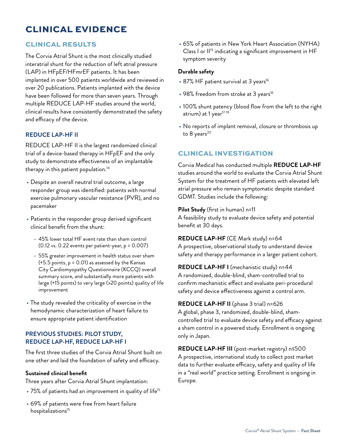### CLINICAL EVIDENCE

#### CLINICAL RESULTS

The Corvia Atrial Shunt is the most clinically studied interatrial shunt for the reduction of left atrial pressure (LAP) in HFpEF/HFmrEF patients. It has been implanted in over 500 patients worldwide and reviewed in over 20 publications. Patients implanted with the device have been followed for more than seven years. Through multiple REDUCE LAP-HF studies around the world, clinical results have consistently demonstrated the safety and efficacy of the device.

#### **REDUCE LAP-HF II**

REDUCE LAP-HF II is the largest randomized clinical trial of a device-based therapy in HFpEF and the only study to demonstrate effectiveness of an implantable therapy in this patient population.<sup>14</sup>

- Despite an overall neutral trial outcome, a large responder group was identified: patients with normal exercise pulmonary vascular resistance (PVR), and no pacemaker
- Patients in the responder group derived significant clinical benefit from the shunt:
	- 45% lower total HF event rate than sham control (0.12 vs. 0.22 events per patient-year, p = 0.007)
	- 55% greater improvement in health status over sham (+5.5 points, p = 0.01) as assessed by the Kansas City Cardiomyopathy Questionnaire (KCCQ) overall summary score, and substantially more patients with large (+15 points) to very large (>20 points) quality of life improvement
- The study revealed the criticality of exercise in the hemodynamic characterization of heart failure to ensure appropriate patient identification

#### **PREVIOUS STUDIES: PILOT STUDY, REDUCE LAP-HF, REDUCE LAP-HF I**

The first three studies of the Corvia Atrial Shunt built on one other and laid the foundation of safety and efficacy.

#### **Sustained clinical benefit**

Three years after Corvia Atrial Shunt implantation:

- 75% of patients had an improvement in quality of life<sup>15</sup>
- 69% of patients were free from heart failure hospitalizations<sup>15</sup>

• 65% of patients in New York Heart Association (NYHA) Class I or II<sup>15</sup> indicating a significant improvement in HF symptom severity

#### **Durable safety**

- 87% HF patient survival at 3 years<sup>16</sup>
- $\cdot$  98% freedom from stroke at 3 years<sup>16</sup>
- 100% shunt patency (blood flow from the left to the right atrium) at 1 year<sup>17-19</sup>
- No reports of implant removal, closure or thrombosis up to  $8$  years<sup>20</sup>

#### CLINICAL INVESTIGATION

Corvia Medical has conducted multiple **REDUCE LAP-HF** studies around the world to evaluate the Corvia Atrial Shunt System for the treatment of HF patients with elevated left atrial pressure who remain symptomatic despite standard GDMT. Studies include the following:

#### **Pilot Study** (first in human) n=11

A feasibility study to evaluate device safety and potential benefit at 30 days.

#### **REDUCE LAP-HF** (CE Mark study) n=64

A prospective, observational study to understand device safety and therapy performance in a larger patient cohort.

**REDUCE LAP-HF I** (mechanistic study) n=44 A randomized, double-blind, sham-controlled trial to confirm mechanistic effect and evaluate peri-procedural safety and device effectiveness against a control arm.

**REDUCE LAP-HF II** (phase 3 trial) n=626 A global, phase 3, randomized, double-blind, shamcontrolled trial to evaluate device safety and efficacy against a sham control in a powered study. Enrollment is ongoing only in Japan.

**REDUCE LAP-HF III** (post-market registry) n≤500 A prospective, international study to collect post market data to further evaluate efficacy, safety and quality of life in a "real world" practice setting. Enrollment is ongoing in Europe.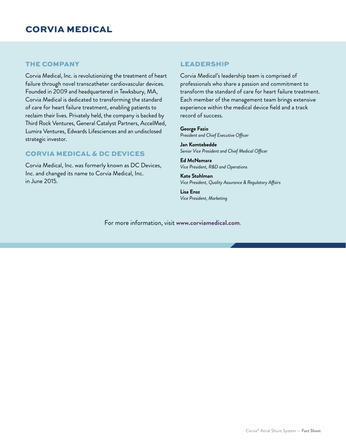### CORVIA MEDICAL

#### THE COMPANY

Corvia Medical, Inc. is revolutionizing the treatment of heart failure through novel transcatheter cardiovascular devices. Founded in 2009 and headquartered in Tewksbury, MA, Corvia Medical is dedicated to transforming the standard of care for heart failure treatment, enabling patients to reclaim their lives. Privately held, the company is backed by Third Rock Ventures, General Catalyst Partners, AccelMed, Lumira Ventures, Edwards Lifesciences and an undisclosed strategic investor.

#### CORVIA MEDICAL & DC DEVICES

Corvia Medical, Inc. was formerly known as DC Devices, Inc. and changed its name to Corvia Medical, Inc. in June 2015.

#### LEADERSHIP

Corvia Medical's leadership team is comprised of professionals who share a passion and commitment to transform the standard of care for heart failure treatment. Each member of the management team brings extensive experience within the medical device field and a track record of success.

**George Fazio** *President and Chief Executive Officer*

**Jan Komtebedde** *Senior Vice President and Chief Medical Officer*

**Ed McNamara** *Vice President, R&D and Operations* 

**Kate Stohlman** *Vice President, Quality Assurance & Regulatory Affairs*

**Lisa Ensz** *Vice President, Marketing*

For more information, visit **www.corviamedical.com**.